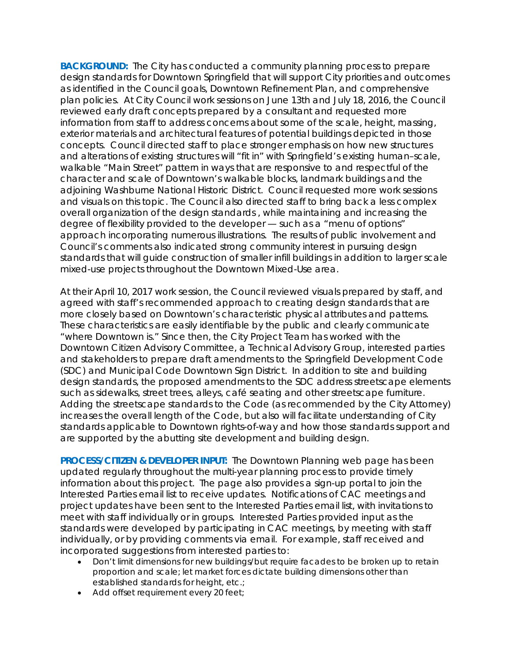**BACKGROUND:** The City has conducted a community planning process to prepare design standards for Downtown Springfield that will support City priorities and outcomes as identified in the Council goals, Downtown Refinement Plan, and comprehensive plan policies. At City Council work sessions on June 13th and July 18, 2016, the Council reviewed early draft concepts prepared by a consultant and requested more information from staff to address concerns about some of the scale, height, massing, exterior materials and architectural features of potential buildings depicted in those concepts. Council directed staff to place stronger emphasis on how new structures and alterations of existing structures will "fit in" with Springfield's existing human–scale, walkable "Main Street" pattern in ways that are responsive to and respectful of the character and scale of Downtown's walkable blocks, landmark buildings and the adjoining Washburne National Historic District. Council requested more work sessions and visuals on this topic. The Council also directed staff to bring back a less complex overall organization of the design standards , while maintaining and increasing the degree of flexibility provided to the developer — such as a "menu of options" approach incorporating numerous illustrations. The results of public involvement and Council's comments also indicated strong community interest in pursuing design standards that will guide construction of smaller infill buildings in addition to larger scale mixed-use projects throughout the Downtown Mixed-Use area.

At their April 10, 2017 work session, the Council reviewed visuals prepared by staff, and agreed with staff's recommended approach to creating design standards that are more closely based on Downtown's characteristic physical attributes and patterns. These characteristics are easily identifiable by the public and clearly communicate "where Downtown is." Since then, the City Project Team has worked with the Downtown Citizen Advisory Committee, a Technical Advisory Group, interested parties and stakeholders to prepare draft amendments to the Springfield Development Code (SDC) and Municipal Code Downtown Sign District. In addition to site and building design standards, the proposed amendments to the SDC address streetscape elements such as sidewalks, street trees, alleys, café seating and other streetscape furniture. Adding the streetscape standards to the Code (as recommended by the City Attorney) increases the overall length of the Code, but also will facilitate understanding of City standards applicable to Downtown rights-of-way and how those standards support and are supported by the abutting site development and building design.

**PROCESS/CITIZEN & DEVELOPER INPUT:** The Downtown Planning web page has been updated regularly throughout the multi-year planning process to provide timely information about this project. The page also provides a sign-up portal to join the Interested Parties email list to receive updates. Notifications of CAC meetings and project updates have been sent to the Interested Parties email list, with invitations to meet with staff individually or in groups. Interested Parties provided input as the standards were developed by participating in CAC meetings, by meeting with staff individually, or by providing comments via email. For example, staff received and incorporated suggestions from interested parties to:

- *Don't limit dimensions for new buildings/but require facades to be broken up to retain proportion and scale; let market forces dictate building dimensions other than established standards for height, etc.;*
- *Add offset requirement every 20 feet;*